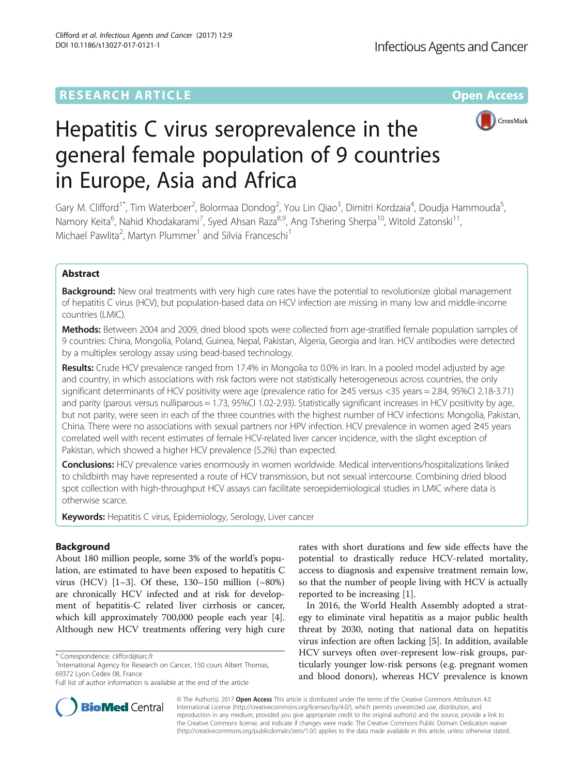# **RESEARCH ARTICLE Example 2018 12:00 Department of the CONNECTION CONNECTION CONNECTION CONNECTION**



# Hepatitis C virus seroprevalence in the general female population of 9 countries in Europe, Asia and Africa

Gary M. Clifford<sup>1\*</sup>, Tim Waterboer<sup>2</sup>, Bolormaa Dondog<sup>2</sup>, You Lin Qiao<sup>3</sup>, Dimitri Kordzaia<sup>4</sup>, Doudja Hammouda<sup>5</sup> , Namory Keita<sup>6</sup>, Nahid Khodakarami<sup>7</sup>, Syed Ahsan Raza<sup>8,9</sup>, Ang Tshering Sherpa<sup>10</sup>, Witold Zatonski<sup>11</sup>, Michael Pawlita<sup>2</sup>, Martyn Plummer<sup>1</sup> and Silvia Franceschi<sup>1</sup>

# Abstract

**Background:** New oral treatments with very high cure rates have the potential to revolutionize global management of hepatitis C virus (HCV), but population-based data on HCV infection are missing in many low and middle-income countries (LMIC).

Methods: Between 2004 and 2009, dried blood spots were collected from age-stratified female population samples of 9 countries: China, Mongolia, Poland, Guinea, Nepal, Pakistan, Algeria, Georgia and Iran. HCV antibodies were detected by a multiplex serology assay using bead-based technology.

Results: Crude HCV prevalence ranged from 17.4% in Mongolia to 0.0% in Iran. In a pooled model adjusted by age and country, in which associations with risk factors were not statistically heterogeneous across countries, the only significant determinants of HCV positivity were age (prevalence ratio for ≥45 versus <35 years = 2.84, 95%CI 2.18-3.71) and parity (parous versus nulliparous = 1.73, 95%CI 1.02-2.93). Statistically significant increases in HCV positivity by age, but not parity, were seen in each of the three countries with the highest number of HCV infections: Mongolia, Pakistan, China. There were no associations with sexual partners nor HPV infection. HCV prevalence in women aged ≥45 years correlated well with recent estimates of female HCV-related liver cancer incidence, with the slight exception of Pakistan, which showed a higher HCV prevalence (5.2%) than expected.

Conclusions: HCV prevalence varies enormously in women worldwide. Medical interventions/hospitalizations linked to childbirth may have represented a route of HCV transmission, but not sexual intercourse. Combining dried blood spot collection with high-throughput HCV assays can facilitate seroepidemiological studies in LMIC where data is otherwise scarce.

**Keywords:** Hepatitis C virus, Epidemiology, Serology, Liver cancer

# Background

About 180 million people, some 3% of the world's population, are estimated to have been exposed to hepatitis C virus (HCV) [[1](#page-6-0)–[3](#page-6-0)]. Of these, 130–150 million (~80%) are chronically HCV infected and at risk for development of hepatitis-C related liver cirrhosis or cancer, which kill approximately 700,000 people each year [\[4](#page-6-0)]. Although new HCV treatments offering very high cure

rates with short durations and few side effects have the potential to drastically reduce HCV-related mortality, access to diagnosis and expensive treatment remain low, so that the number of people living with HCV is actually reported to be increasing [[1\]](#page-6-0).

In 2016, the World Health Assembly adopted a strategy to eliminate viral hepatitis as a major public health threat by 2030, noting that national data on hepatitis virus infection are often lacking [[5](#page-6-0)]. In addition, available HCV surveys often over-represent low-risk groups, particularly younger low-risk persons (e.g. pregnant women and blood donors), whereas HCV prevalence is known



© The Author(s). 2017 **Open Access** This article is distributed under the terms of the Creative Commons Attribution 4.0 International License [\(http://creativecommons.org/licenses/by/4.0/](http://creativecommons.org/licenses/by/4.0/)), which permits unrestricted use, distribution, and reproduction in any medium, provided you give appropriate credit to the original author(s) and the source, provide a link to the Creative Commons license, and indicate if changes were made. The Creative Commons Public Domain Dedication waiver [\(http://creativecommons.org/publicdomain/zero/1.0/](http://creativecommons.org/publicdomain/zero/1.0/)) applies to the data made available in this article, unless otherwise stated.

<sup>\*</sup> Correspondence: [clifford@iarc.fr](mailto:clifford@iarc.fr) <sup>1</sup>

<sup>&</sup>lt;sup>1</sup>International Agency for Research on Cancer, 150 cours Albert Thomas, 69372 Lyon Cedex 08, France

Full list of author information is available at the end of the article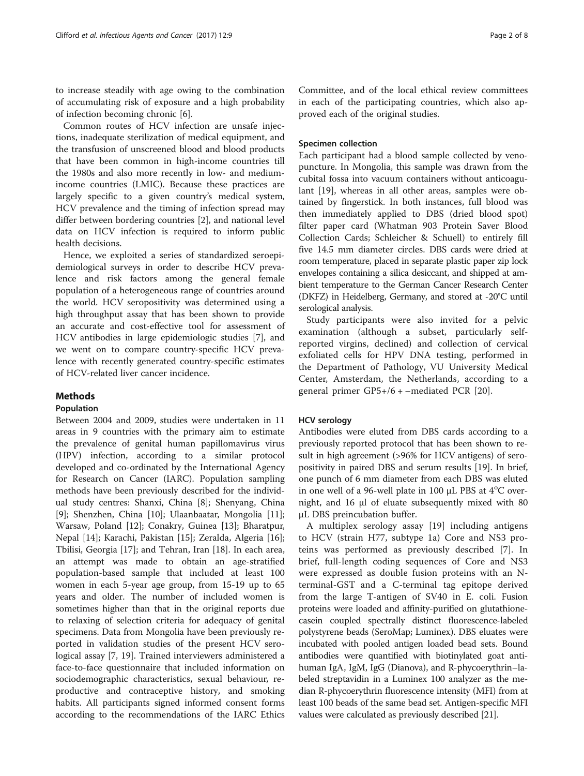to increase steadily with age owing to the combination of accumulating risk of exposure and a high probability of infection becoming chronic [\[6](#page-6-0)].

Common routes of HCV infection are unsafe injections, inadequate sterilization of medical equipment, and the transfusion of unscreened blood and blood products that have been common in high-income countries till the 1980s and also more recently in low- and mediumincome countries (LMIC). Because these practices are largely specific to a given country's medical system, HCV prevalence and the timing of infection spread may differ between bordering countries [[2\]](#page-6-0), and national level data on HCV infection is required to inform public health decisions.

Hence, we exploited a series of standardized seroepidemiological surveys in order to describe HCV prevalence and risk factors among the general female population of a heterogeneous range of countries around the world. HCV seropositivity was determined using a high throughput assay that has been shown to provide an accurate and cost-effective tool for assessment of HCV antibodies in large epidemiologic studies [[7\]](#page-6-0), and we went on to compare country-specific HCV prevalence with recently generated country-specific estimates of HCV-related liver cancer incidence.

# Methods

# Population

Between 2004 and 2009, studies were undertaken in 11 areas in 9 countries with the primary aim to estimate the prevalence of genital human papillomavirus virus (HPV) infection, according to a similar protocol developed and co-ordinated by the International Agency for Research on Cancer (IARC). Population sampling methods have been previously described for the individual study centres: Shanxi, China [[8](#page-6-0)]; Shenyang, China [[9\]](#page-6-0); Shenzhen, China [\[10](#page-6-0)]; Ulaanbaatar, Mongolia [\[11](#page-6-0)]; Warsaw, Poland [[12\]](#page-6-0); Conakry, Guinea [[13\]](#page-6-0); Bharatpur, Nepal [\[14](#page-6-0)]; Karachi, Pakistan [\[15\]](#page-7-0); Zeralda, Algeria [\[16](#page-7-0)]; Tbilisi, Georgia [[17\]](#page-7-0); and Tehran, Iran [[18\]](#page-7-0). In each area, an attempt was made to obtain an age-stratified population-based sample that included at least 100 women in each 5-year age group, from 15-19 up to 65 years and older. The number of included women is sometimes higher than that in the original reports due to relaxing of selection criteria for adequacy of genital specimens. Data from Mongolia have been previously reported in validation studies of the present HCV serological assay [\[7](#page-6-0), [19](#page-7-0)]. Trained interviewers administered a face-to-face questionnaire that included information on sociodemographic characteristics, sexual behaviour, reproductive and contraceptive history, and smoking habits. All participants signed informed consent forms according to the recommendations of the IARC Ethics

## Specimen collection

Each participant had a blood sample collected by venopuncture. In Mongolia, this sample was drawn from the cubital fossa into vacuum containers without anticoagulant [[19\]](#page-7-0), whereas in all other areas, samples were obtained by fingerstick. In both instances, full blood was then immediately applied to DBS (dried blood spot) filter paper card (Whatman 903 Protein Saver Blood Collection Cards; Schleicher & Schuell) to entirely fill five 14.5 mm diameter circles. DBS cards were dried at room temperature, placed in separate plastic paper zip lock envelopes containing a silica desiccant, and shipped at ambient temperature to the German Cancer Research Center (DKFZ) in Heidelberg, Germany, and stored at -20°C until serological analysis.

Study participants were also invited for a pelvic examination (although a subset, particularly selfreported virgins, declined) and collection of cervical exfoliated cells for HPV DNA testing, performed in the Department of Pathology, VU University Medical Center, Amsterdam, the Netherlands, according to a general primer GP5+/6 + –mediated PCR [[20](#page-7-0)].

## HCV serology

Antibodies were eluted from DBS cards according to a previously reported protocol that has been shown to result in high agreement (>96% for HCV antigens) of seropositivity in paired DBS and serum results [\[19](#page-7-0)]. In brief, one punch of 6 mm diameter from each DBS was eluted in one well of a 96-well plate in 100  $\mu$ L PBS at 4°C overnight, and 16 μl of eluate subsequently mixed with 80 μL DBS preincubation buffer.

A multiplex serology assay [[19\]](#page-7-0) including antigens to HCV (strain H77, subtype 1a) Core and NS3 proteins was performed as previously described [\[7](#page-6-0)]. In brief, full-length coding sequences of Core and NS3 were expressed as double fusion proteins with an Nterminal-GST and a C-terminal tag epitope derived from the large T-antigen of SV40 in E. coli. Fusion proteins were loaded and affinity-purified on glutathionecasein coupled spectrally distinct fluorescence-labeled polystyrene beads (SeroMap; Luminex). DBS eluates were incubated with pooled antigen loaded bead sets. Bound antibodies were quantified with biotinylated goat antihuman IgA, IgM, IgG (Dianova), and R-phycoerythrin–labeled streptavidin in a Luminex 100 analyzer as the median R-phycoerythrin fluorescence intensity (MFI) from at least 100 beads of the same bead set. Antigen-specific MFI values were calculated as previously described [[21](#page-7-0)].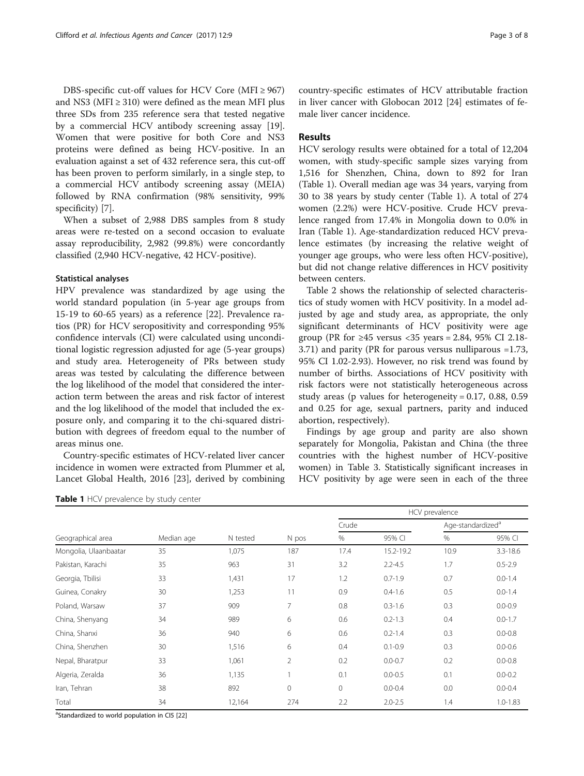DBS-specific cut-off values for HCV Core (MFI  $\geq$  967) and NS3 (MFI  $\geq$  310) were defined as the mean MFI plus three SDs from 235 reference sera that tested negative by a commercial HCV antibody screening assay [\[19](#page-7-0)]. Women that were positive for both Core and NS3 proteins were defined as being HCV-positive. In an evaluation against a set of 432 reference sera, this cut-off has been proven to perform similarly, in a single step, to a commercial HCV antibody screening assay (MEIA) followed by RNA confirmation (98% sensitivity, 99% specificity) [\[7](#page-6-0)].

When a subset of 2,988 DBS samples from 8 study areas were re-tested on a second occasion to evaluate assay reproducibility, 2,982 (99.8%) were concordantly classified (2,940 HCV-negative, 42 HCV-positive).

#### Statistical analyses

HPV prevalence was standardized by age using the world standard population (in 5-year age groups from 15-19 to 60-65 years) as a reference [\[22\]](#page-7-0). Prevalence ratios (PR) for HCV seropositivity and corresponding 95% confidence intervals (CI) were calculated using unconditional logistic regression adjusted for age (5-year groups) and study area. Heterogeneity of PRs between study areas was tested by calculating the difference between the log likelihood of the model that considered the interaction term between the areas and risk factor of interest and the log likelihood of the model that included the exposure only, and comparing it to the chi-squared distribution with degrees of freedom equal to the number of areas minus one.

Country-specific estimates of HCV-related liver cancer incidence in women were extracted from Plummer et al, Lancet Global Health, 2016 [\[23\]](#page-7-0), derived by combining country-specific estimates of HCV attributable fraction in liver cancer with Globocan 2012 [\[24](#page-7-0)] estimates of female liver cancer incidence.

## Results

HCV serology results were obtained for a total of 12,204 women, with study-specific sample sizes varying from 1,516 for Shenzhen, China, down to 892 for Iran (Table 1). Overall median age was 34 years, varying from 30 to 38 years by study center (Table 1). A total of 274 women (2.2%) were HCV-positive. Crude HCV prevalence ranged from 17.4% in Mongolia down to 0.0% in Iran (Table 1). Age-standardization reduced HCV prevalence estimates (by increasing the relative weight of younger age groups, who were less often HCV-positive), but did not change relative differences in HCV positivity between centers.

Table [2](#page-3-0) shows the relationship of selected characteristics of study women with HCV positivity. In a model adjusted by age and study area, as appropriate, the only significant determinants of HCV positivity were age group (PR for ≥45 versus <35 years = 2.84, 95% CI 2.18-3.71) and parity (PR for parous versus nulliparous =1.73, 95% CI 1.02-2.93). However, no risk trend was found by number of births. Associations of HCV positivity with risk factors were not statistically heterogeneous across study areas (p values for heterogeneity =  $0.17, 0.88, 0.59$ and 0.25 for age, sexual partners, parity and induced abortion, respectively).

Findings by age group and parity are also shown separately for Mongolia, Pakistan and China (the three countries with the highest number of HCV-positive women) in Table [3.](#page-4-0) Statistically significant increases in HCV positivity by age were seen in each of the three

|                       |            | N tested | N pos          | HCV prevalence |             |                               |              |
|-----------------------|------------|----------|----------------|----------------|-------------|-------------------------------|--------------|
|                       | Median age |          |                | Crude          |             | Age-standardized <sup>a</sup> |              |
| Geographical area     |            |          |                | %              | 95% CI      | %                             | 95% CI       |
| Mongolia, Ulaanbaatar | 35         | 1,075    | 187            | 17.4           | 15.2-19.2   | 10.9                          | $3.3 - 18.6$ |
| Pakistan, Karachi     | 35         | 963      | 31             | 3.2            | $2.2 - 4.5$ | 1.7                           | $0.5 - 2.9$  |
| Georgia, Tbilisi      | 33         | 1,431    | 17             | 1.2            | $0.7 - 1.9$ | 0.7                           | $0.0 - 1.4$  |
| Guinea, Conakry       | 30         | 1,253    | 11             | 0.9            | $0.4 - 1.6$ | 0.5                           | $0.0 - 1.4$  |
| Poland, Warsaw        | 37         | 909      | 7              | 0.8            | $0.3 - 1.6$ | 0.3                           | $0.0 - 0.9$  |
| China, Shenyang       | 34         | 989      | 6              | 0.6            | $0.2 - 1.3$ | 0.4                           | $0.0 - 1.7$  |
| China, Shanxi         | 36         | 940      | 6              | 0.6            | $0.2 - 1.4$ | 0.3                           | $0.0 - 0.8$  |
| China, Shenzhen       | 30         | 1,516    | 6              | 0.4            | $0.1 - 0.9$ | 0.3                           | $0.0 - 0.6$  |
| Nepal, Bharatpur      | 33         | 1,061    | $\overline{2}$ | 0.2            | $0.0 - 0.7$ | 0.2                           | $0.0 - 0.8$  |
| Algeria, Zeralda      | 36         | 1,135    |                | 0.1            | $0.0 - 0.5$ | 0.1                           | $0.0 - 0.2$  |
| Iran, Tehran          | 38         | 892      | $\mathbf 0$    | $\circ$        | $0.0 - 0.4$ | 0.0                           | $0.0 - 0.4$  |
| Total                 | 34         | 12,164   | 274            | 2.2            | $2.0 - 2.5$ | 1.4                           | $1.0 - 1.83$ |

<sup>a</sup>Standardized to world population in CI5 [[22\]](#page-7-0)

Table 1 HCV prevalence by study center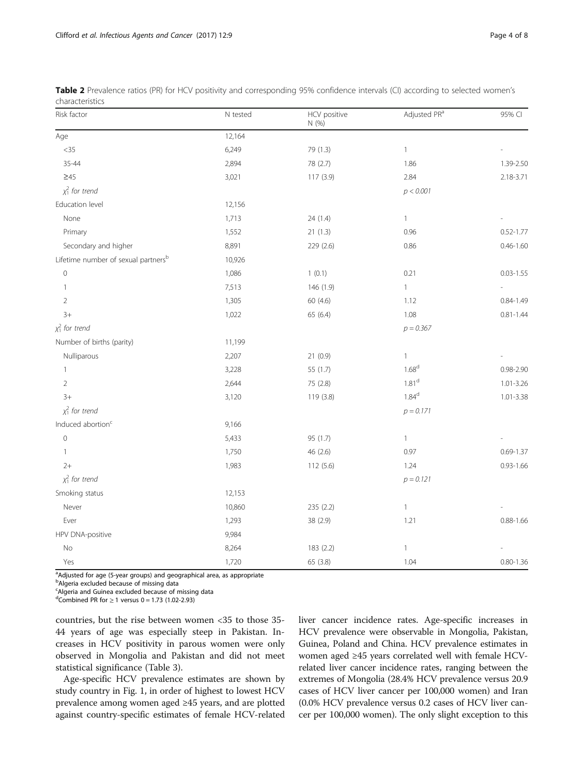| Risk factor                                     | N tested | HCV positive<br>N(%) | Adjusted PR <sup>a</sup> | 95% CI        |
|-------------------------------------------------|----------|----------------------|--------------------------|---------------|
| Age                                             | 12,164   |                      |                          |               |
| $<35\,$                                         | 6,249    | 79 (1.3)             | $\mathbf{1}$             |               |
| 35-44                                           | 2,894    | 78 (2.7)             | 1.86                     | 1.39-2.50     |
| $\geq 45$                                       | 3,021    | 117 (3.9)            | 2.84                     | 2.18-3.71     |
| $\chi_1^2$ for trend                            |          |                      | p < 0.001                |               |
| Education level                                 | 12,156   |                      |                          |               |
| None                                            | 1,713    | 24 (1.4)             | $\mathbf{1}$             |               |
| Primary                                         | 1,552    | 21(1.3)              | 0.96                     | $0.52 - 1.77$ |
| Secondary and higher                            | 8,891    | 229 (2.6)            | 0.86                     | $0.46 - 1.60$ |
| Lifetime number of sexual partners <sup>b</sup> | 10,926   |                      |                          |               |
| $\mathbf 0$                                     | 1,086    | 1(0.1)               | 0.21                     | $0.03 - 1.55$ |
| $\mathbf{1}$                                    | 7,513    | 146 (1.9)            | $\mathbf{1}$             |               |
| $\overline{2}$                                  | 1,305    | 60 (4.6)             | 1.12                     | $0.84 - 1.49$ |
| $3+$                                            | 1,022    | 65 (6.4)             | 1.08                     | $0.81 - 1.44$ |
| $\chi_1^2$ for trend                            |          |                      | $p = 0.367$              |               |
| Number of births (parity)                       | 11,199   |                      |                          |               |
| Nulliparous                                     | 2,207    | 21(0.9)              | $\mathbf{1}$             |               |
| 1                                               | 3,228    | 55 (1.7)             | 1.68 <sup>d</sup>        | 0.98-2.90     |
| $\overline{2}$                                  | 2,644    | 75 (2.8)             | 1.81 <sup>d</sup>        | $1.01 - 3.26$ |
| $3+$                                            | 3,120    | 119 (3.8)            | $1.84^{\rm d}$           | $1.01 - 3.38$ |
| $\chi_1^2$ for trend                            |          |                      | $p = 0.171$              |               |
| Induced abortion <sup>c</sup>                   | 9,166    |                      |                          |               |
| $\mathsf{O}\xspace$                             | 5,433    | 95 (1.7)             | $\mathbf{1}$             |               |
| $\mathbf{1}$                                    | 1,750    | 46 (2.6)             | 0.97                     | $0.69 - 1.37$ |
| $2+$                                            | 1,983    | 112(5.6)             | 1.24                     | $0.93 - 1.66$ |
| $\chi_1^2$ for trend                            |          |                      | $p = 0.121$              |               |
| Smoking status                                  | 12,153   |                      |                          |               |
| Never                                           | 10,860   | 235 (2.2)            | $\mathbf{1}$             |               |
| Ever                                            | 1,293    | 38 (2.9)             | 1.21                     | $0.88 - 1.66$ |
| HPV DNA-positive                                | 9,984    |                      |                          |               |
| No                                              | 8,264    | 183 (2.2)            | $\mathbf{1}$             |               |
| Yes                                             | 1,720    | 65 (3.8)             | 1.04                     | $0.80 - 1.36$ |

<span id="page-3-0"></span>

| Table 2 Prevalence ratios (PR) for HCV positivity and corresponding 95% confidence intervals (CI) according to selected women's |  |  |  |  |
|---------------------------------------------------------------------------------------------------------------------------------|--|--|--|--|
| characteristics                                                                                                                 |  |  |  |  |

<sup>a</sup>Adjusted for age (5-year groups) and geographical area, as appropriate

<sup>b</sup>Algeria excluded because of missing data

<sup>c</sup>Algeria and Guinea excluded because of missing data

 $d$ Combined PR for ≥ 1 versus 0 = 1.73 (1.02-2.93)

countries, but the rise between women <35 to those 35- 44 years of age was especially steep in Pakistan. Increases in HCV positivity in parous women were only observed in Mongolia and Pakistan and did not meet statistical significance (Table [3](#page-4-0)).

Age-specific HCV prevalence estimates are shown by study country in Fig. [1](#page-4-0), in order of highest to lowest HCV prevalence among women aged ≥45 years, and are plotted against country-specific estimates of female HCV-related liver cancer incidence rates. Age-specific increases in HCV prevalence were observable in Mongolia, Pakistan, Guinea, Poland and China. HCV prevalence estimates in women aged ≥45 years correlated well with female HCVrelated liver cancer incidence rates, ranging between the extremes of Mongolia (28.4% HCV prevalence versus 20.9 cases of HCV liver cancer per 100,000 women) and Iran (0.0% HCV prevalence versus 0.2 cases of HCV liver cancer per 100,000 women). The only slight exception to this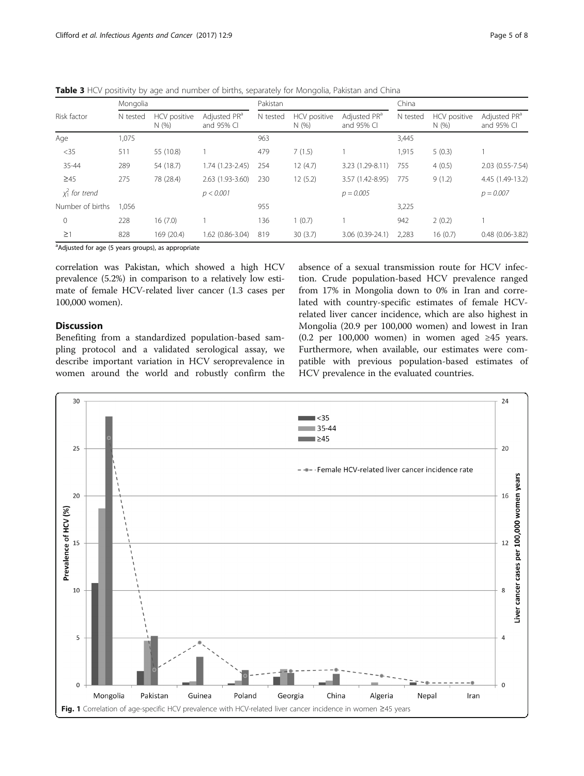|                   | Mongolia |                      |                                        | Pakistan |                      |                                        | China    |                      |                                        |
|-------------------|----------|----------------------|----------------------------------------|----------|----------------------|----------------------------------------|----------|----------------------|----------------------------------------|
| Risk factor       | N tested | HCV positive<br>N(%) | Adjusted PR <sup>a</sup><br>and 95% CI | N tested | HCV positive<br>N(%) | Adjusted PR <sup>a</sup><br>and 95% CI | N tested | HCV positive<br>N(%) | Adjusted PR <sup>a</sup><br>and 95% CI |
| Age               | 1,075    |                      |                                        | 963      |                      |                                        | 3,445    |                      |                                        |
| $<$ 35            | 511      | 55 (10.8)            |                                        | 479      | 7(1.5)               |                                        | 1,915    | 5(0.3)               |                                        |
| 35-44             | 289      | 54 (18.7)            | $1.74(1.23 - 2.45)$                    | 254      | 12(4.7)              | 3.23 (1.29-8.11)                       | 755      | 4(0.5)               | 2.03 (0.55-7.54)                       |
| $\geq 45$         | 275      | 78 (28.4)            | 2.63 (1.93-3.60)                       | 230      | 12(5.2)              | 3.57 (1.42-8.95)                       | 775      | 9(1.2)               | 4.45 (1.49-13.2)                       |
| $x_1^2$ for trend |          |                      | p < 0.001                              |          |                      | $p = 0.005$                            |          |                      | $p = 0.007$                            |
| Number of births  | 1.056    |                      |                                        | 955      |                      |                                        | 3,225    |                      |                                        |
| $\mathbf{0}$      | 228      | 16(7.0)              |                                        | 136      | 1(0.7)               |                                        | 942      | 2(0.2)               |                                        |
| $\geq$ 1          | 828      | 169 (20.4)           | 1.62 (0.86-3.04)                       | 819      | 30(3.7)              | 3.06 (0.39-24.1)                       | 2,283    | 16(0.7)              | $0.48(0.06 - 3.82)$                    |

<span id="page-4-0"></span>Table 3 HCV positivity by age and number of births, separately for Mongolia, Pakistan and China

<sup>a</sup>Adjusted for age (5 years groups), as appropriate

correlation was Pakistan, which showed a high HCV prevalence (5.2%) in comparison to a relatively low estimate of female HCV-related liver cancer (1.3 cases per 100,000 women).

# Discussion

Benefiting from a standardized population-based sampling protocol and a validated serological assay, we describe important variation in HCV seroprevalence in women around the world and robustly confirm the absence of a sexual transmission route for HCV infection. Crude population-based HCV prevalence ranged from 17% in Mongolia down to 0% in Iran and correlated with country-specific estimates of female HCVrelated liver cancer incidence, which are also highest in Mongolia (20.9 per 100,000 women) and lowest in Iran (0.2 per 100,000 women) in women aged ≥45 years. Furthermore, when available, our estimates were compatible with previous population-based estimates of HCV prevalence in the evaluated countries.

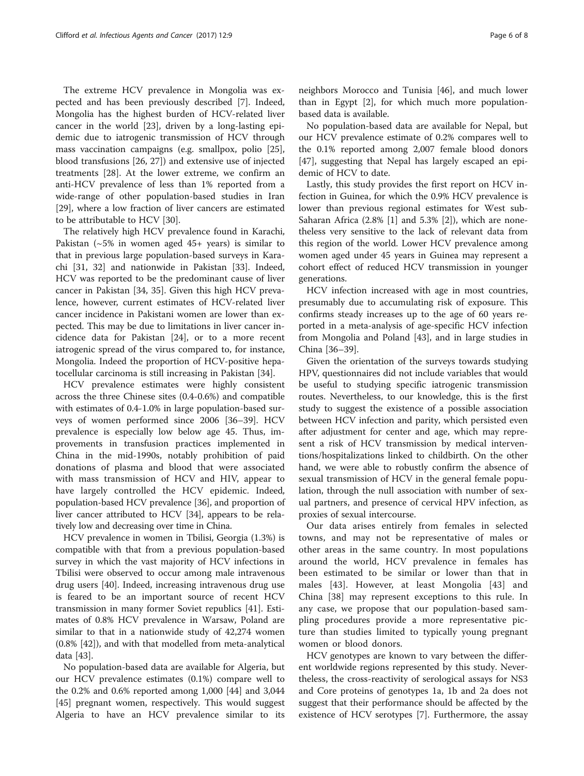The extreme HCV prevalence in Mongolia was expected and has been previously described [\[7](#page-6-0)]. Indeed, Mongolia has the highest burden of HCV-related liver cancer in the world [\[23\]](#page-7-0), driven by a long-lasting epidemic due to iatrogenic transmission of HCV through mass vaccination campaigns (e.g. smallpox, polio [\[25](#page-7-0)], blood transfusions [\[26](#page-7-0), [27](#page-7-0)]) and extensive use of injected treatments [\[28](#page-7-0)]. At the lower extreme, we confirm an anti-HCV prevalence of less than 1% reported from a wide-range of other population-based studies in Iran [[29\]](#page-7-0), where a low fraction of liver cancers are estimated to be attributable to HCV [[30\]](#page-7-0).

The relatively high HCV prevalence found in Karachi, Pakistan ( $\sim$  5% in women aged 45+ years) is similar to that in previous large population-based surveys in Karachi [\[31](#page-7-0), [32\]](#page-7-0) and nationwide in Pakistan [[33\]](#page-7-0). Indeed, HCV was reported to be the predominant cause of liver cancer in Pakistan [[34, 35](#page-7-0)]. Given this high HCV prevalence, however, current estimates of HCV-related liver cancer incidence in Pakistani women are lower than expected. This may be due to limitations in liver cancer incidence data for Pakistan [\[24](#page-7-0)], or to a more recent iatrogenic spread of the virus compared to, for instance, Mongolia. Indeed the proportion of HCV-positive hepatocellular carcinoma is still increasing in Pakistan [[34](#page-7-0)].

HCV prevalence estimates were highly consistent across the three Chinese sites (0.4-0.6%) and compatible with estimates of 0.4-1.0% in large population-based surveys of women performed since 2006 [[36](#page-7-0)–[39](#page-7-0)]. HCV prevalence is especially low below age 45. Thus, improvements in transfusion practices implemented in China in the mid-1990s, notably prohibition of paid donations of plasma and blood that were associated with mass transmission of HCV and HIV, appear to have largely controlled the HCV epidemic. Indeed, population-based HCV prevalence [\[36\]](#page-7-0), and proportion of liver cancer attributed to HCV [[34](#page-7-0)], appears to be relatively low and decreasing over time in China.

HCV prevalence in women in Tbilisi, Georgia (1.3%) is compatible with that from a previous population-based survey in which the vast majority of HCV infections in Tbilisi were observed to occur among male intravenous drug users [[40](#page-7-0)]. Indeed, increasing intravenous drug use is feared to be an important source of recent HCV transmission in many former Soviet republics [\[41](#page-7-0)]. Estimates of 0.8% HCV prevalence in Warsaw, Poland are similar to that in a nationwide study of 42,274 women (0.8% [[42\]](#page-7-0)), and with that modelled from meta-analytical data [[43\]](#page-7-0).

No population-based data are available for Algeria, but our HCV prevalence estimates (0.1%) compare well to the 0.2% and 0.6% reported among 1,000 [[44\]](#page-7-0) and 3,044 [[45\]](#page-7-0) pregnant women, respectively. This would suggest Algeria to have an HCV prevalence similar to its

neighbors Morocco and Tunisia [[46\]](#page-7-0), and much lower than in Egypt [\[2](#page-6-0)], for which much more populationbased data is available.

No population-based data are available for Nepal, but our HCV prevalence estimate of 0.2% compares well to the 0.1% reported among 2,007 female blood donors [[47\]](#page-7-0), suggesting that Nepal has largely escaped an epidemic of HCV to date.

Lastly, this study provides the first report on HCV infection in Guinea, for which the 0.9% HCV prevalence is lower than previous regional estimates for West sub-Saharan Africa (2.8% [[1\]](#page-6-0) and 5.3% [[2\]](#page-6-0)), which are nonetheless very sensitive to the lack of relevant data from this region of the world. Lower HCV prevalence among women aged under 45 years in Guinea may represent a cohort effect of reduced HCV transmission in younger generations.

HCV infection increased with age in most countries, presumably due to accumulating risk of exposure. This confirms steady increases up to the age of 60 years reported in a meta-analysis of age-specific HCV infection from Mongolia and Poland [\[43](#page-7-0)], and in large studies in China [\[36](#page-7-0)–[39\]](#page-7-0).

Given the orientation of the surveys towards studying HPV, questionnaires did not include variables that would be useful to studying specific iatrogenic transmission routes. Nevertheless, to our knowledge, this is the first study to suggest the existence of a possible association between HCV infection and parity, which persisted even after adjustment for center and age, which may represent a risk of HCV transmission by medical interventions/hospitalizations linked to childbirth. On the other hand, we were able to robustly confirm the absence of sexual transmission of HCV in the general female population, through the null association with number of sexual partners, and presence of cervical HPV infection, as proxies of sexual intercourse.

Our data arises entirely from females in selected towns, and may not be representative of males or other areas in the same country. In most populations around the world, HCV prevalence in females has been estimated to be similar or lower than that in males [[43\]](#page-7-0). However, at least Mongolia [\[43](#page-7-0)] and China [[38\]](#page-7-0) may represent exceptions to this rule. In any case, we propose that our population-based sampling procedures provide a more representative picture than studies limited to typically young pregnant women or blood donors.

HCV genotypes are known to vary between the different worldwide regions represented by this study. Nevertheless, the cross-reactivity of serological assays for NS3 and Core proteins of genotypes 1a, 1b and 2a does not suggest that their performance should be affected by the existence of HCV serotypes [\[7\]](#page-6-0). Furthermore, the assay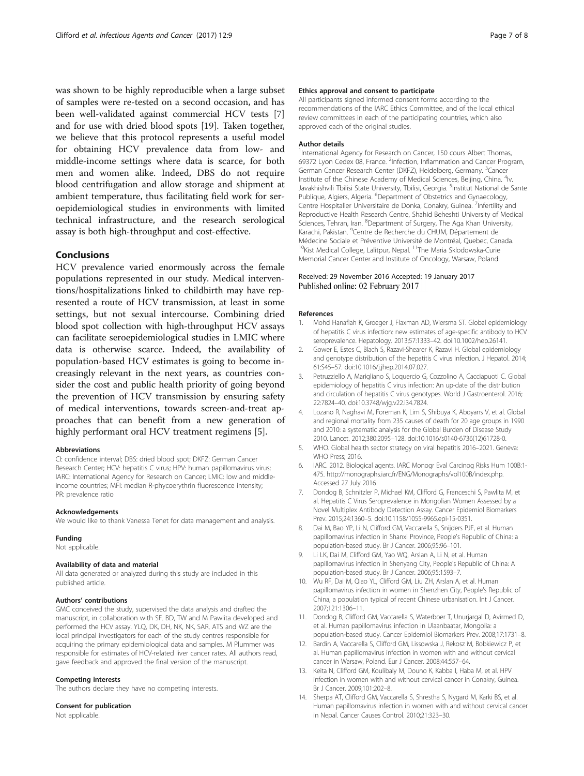<span id="page-6-0"></span>was shown to be highly reproducible when a large subset of samples were re-tested on a second occasion, and has been well-validated against commercial HCV tests [7] and for use with dried blood spots [\[19\]](#page-7-0). Taken together, we believe that this protocol represents a useful model for obtaining HCV prevalence data from low- and middle-income settings where data is scarce, for both men and women alike. Indeed, DBS do not require blood centrifugation and allow storage and shipment at ambient temperature, thus facilitating field work for seroepidemiological studies in environments with limited technical infrastructure, and the research serological assay is both high-throughput and cost-effective.

## Conclusions

HCV prevalence varied enormously across the female populations represented in our study. Medical interventions/hospitalizations linked to childbirth may have represented a route of HCV transmission, at least in some settings, but not sexual intercourse. Combining dried blood spot collection with high-throughput HCV assays can facilitate seroepidemiological studies in LMIC where data is otherwise scarce. Indeed, the availability of population-based HCV estimates is going to become increasingly relevant in the next years, as countries consider the cost and public health priority of going beyond the prevention of HCV transmission by ensuring safety of medical interventions, towards screen-and-treat approaches that can benefit from a new generation of highly performant oral HCV treatment regimens [5].

#### Abbreviations

CI: confidence interval; DBS: dried blood spot; DKFZ: German Cancer Research Center; HCV: hepatitis C virus; HPV: human papillomavirus virus; IARC: International Agency for Research on Cancer; LMIC: low and middleincome countries; MFI: median R-phycoerythrin fluorescence intensity; PR: prevalence ratio

#### Acknowledgements

We would like to thank Vanessa Tenet for data management and analysis.

#### Funding

Not applicable.

#### Availability of data and material

All data generated or analyzed during this study are included in this published article.

#### Authors' contributions

GMC conceived the study, supervised the data analysis and drafted the manuscript, in collaboration with SF. BD, TW and M Pawlita developed and performed the HCV assay. YLQ, DK, DH, NK, NK, SAR, ATS and WZ are the local principal investigators for each of the study centres responsible for acquiring the primary epidemiological data and samples. M Plummer was responsible for estimates of HCV-related liver cancer rates. All authors read, gave feedback and approved the final version of the manuscript.

#### Competing interests

The authors declare they have no competing interests.

#### Consent for publication

Not applicable.

#### Ethics approval and consent to participate

All participants signed informed consent forms according to the recommendations of the IARC Ethics Committee, and of the local ethical review committees in each of the participating countries, which also approved each of the original studies.

#### Author details

<sup>1</sup>International Agency for Research on Cancer, 150 cours Albert Thomas, 69372 Lyon Cedex 08, France. <sup>2</sup>Infection, Inflammation and Cancer Program German Cancer Research Center (DKFZ), Heidelberg, Germany. <sup>3</sup>Cancer Institute of the Chinese Academy of Medical Sciences, Beijing, China. <sup>4</sup>Iv. Javakhishvili Tbilisi State University, Tbilisi, Georgia. <sup>5</sup>Institut National de Sante Publique, Algiers, Algeria. <sup>6</sup>Department of Obstetrics and Gynaecology, Centre Hospitalier Universitaire de Donka, Conakry, Guinea. <sup>7</sup>Infertility and Reproductive Health Research Centre, Shahid Beheshti University of Medical Sciences, Tehran, Iran. <sup>8</sup>Department of Surgery, The Aga Khan University, Karachi, Pakistan. <sup>9</sup> Centre de Recherche du CHUM, Département de Médecine Sociale et Préventive Université de Montréal, Quebec, Canada. <sup>10</sup>Kist Medical College, Lalitpur, Nepal. <sup>11</sup>The Maria Sklodowska-Curie Memorial Cancer Center and Institute of Oncology, Warsaw, Poland.

#### Received: 29 November 2016 Accepted: 19 January 2017 Published online: 02 February 2017

#### References

- 1. Mohd Hanafiah K, Groeger J, Flaxman AD, Wiersma ST. Global epidemiology of hepatitis C virus infection: new estimates of age-specific antibody to HCV seroprevalence. Hepatology. 2013;57:1333–42. doi:[10.1002/hep.26141](http://dx.doi.org/10.1002/hep.26141).
- 2. Gower E, Estes C, Blach S, Razavi-Shearer K, Razavi H. Global epidemiology and genotype distribution of the hepatitis C virus infection. J Hepatol. 2014; 61:S45–57. doi:[10.1016/j.jhep.2014.07.027](http://dx.doi.org/10.1016/j.jhep.2014.07.027).
- 3. Petruzziello A, Marigliano S, Loquercio G, Cozzolino A, Cacciapuoti C. Global epidemiology of hepatitis C virus infection: An up-date of the distribution and circulation of hepatitis C virus genotypes. World J Gastroenterol. 2016; 22:7824–40. doi[:10.3748/wjg.v22.i34.7824.](http://dx.doi.org/10.3748/wjg.v22.i34.7824)
- 4. Lozano R, Naghavi M, Foreman K, Lim S, Shibuya K, Aboyans V, et al. Global and regional mortality from 235 causes of death for 20 age groups in 1990 and 2010: a systematic analysis for the Global Burden of Disease Study 2010. Lancet. 2012;380:2095–128. doi[:10.1016/s0140-6736\(12\)61728-0](http://dx.doi.org/10.1016/s0140-6736(12)61728-0).
- 5. WHO. Global health sector strategy on viral hepatitis 2016–2021. Geneva: WHO Press; 2016.
- 6. IARC. 2012. Biological agents. IARC Monogr Eval Carcinog Risks Hum 100B:1- 475. http://monographs.iarc.fr/ENG/Monographs/vol100B/index.php. Accessed 27 July 2016
- 7. Dondog B, Schnitzler P, Michael KM, Clifford G, Franceschi S, Pawlita M, et al. Hepatitis C Virus Seroprevalence in Mongolian Women Assessed by a Novel Multiplex Antibody Detection Assay. Cancer Epidemiol Biomarkers Prev. 2015;24:1360–5. doi[:10.1158/1055-9965.epi-15-0351](http://dx.doi.org/10.1158/1055-9965.epi-15-0351).
- 8. Dai M, Bao YP, Li N, Clifford GM, Vaccarella S, Snijders PJF, et al. Human papillomavirus infection in Shanxi Province, People's Republic of China: a population-based study. Br J Cancer. 2006;95:96–101.
- 9. Li LK, Dai M, Clifford GM, Yao WQ, Arslan A, Li N, et al. Human papillomavirus infection in Shenyang City, People's Republic of China: A population-based study. Br J Cancer. 2006;95:1593–7.
- 10. Wu RF, Dai M, Qiao YL, Clifford GM, Liu ZH, Arslan A, et al. Human papillomavirus infection in women in Shenzhen City, People's Republic of China, a population typical of recent Chinese urbanisation. Int J Cancer. 2007;121:1306–11.
- 11. Dondog B, Clifford GM, Vaccarella S, Waterboer T, Unurjargal D, Avirmed D, et al. Human papillomavirus infection in Ulaanbaatar, Mongolia: a population-based study. Cancer Epidemiol Biomarkers Prev. 2008;17:1731–8.
- 12. Bardin A, Vaccarella S, Clifford GM, Lissowska J, Rekosz M, Bobkiewicz P, et al. Human papillomavirus infection in women with and without cervical cancer in Warsaw, Poland. Eur J Cancer. 2008;44:557–64.
- 13. Keita N, Clifford GM, Koulibaly M, Douno K, Kabba I, Haba M, et al. HPV infection in women with and without cervical cancer in Conakry, Guinea. Br J Cancer. 2009;101:202–8.
- 14. Sherpa AT, Clifford GM, Vaccarella S, Shrestha S, Nygard M, Karki BS, et al. Human papillomavirus infection in women with and without cervical cancer in Nepal. Cancer Causes Control. 2010;21:323–30.